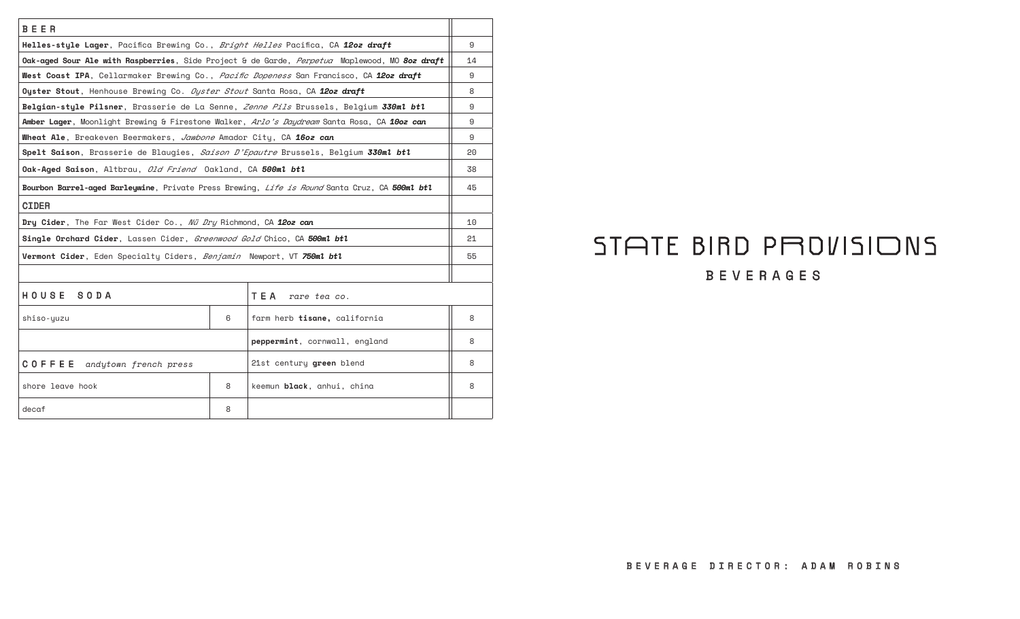| BEER                                                                                          |   |                                                                                                      |    |  |
|-----------------------------------------------------------------------------------------------|---|------------------------------------------------------------------------------------------------------|----|--|
| Helles-style Lager, Pacifica Brewing Co., Bright Helles Pacifica, CA 1202 draft               |   |                                                                                                      | 9  |  |
|                                                                                               |   | Oak-aged Sour Ale with Raspberries, Side Project & de Garde, <i>Perpetua</i> Maplewood, MO 8oz draft | 14 |  |
| West Coast IPA, Cellarmaker Brewing Co., <i>Pacific Dopeness</i> San Francisco, CA 1202 draft |   |                                                                                                      | 9  |  |
| Oyster Stout, Henhouse Brewing Co. Oyster Stout Santa Rosa, CA 1202 draft                     |   |                                                                                                      | 8  |  |
| Belgian-style Pilsner, Brasserie de La Senne, Zenne Pils Brussels, Belgium 330ml btl          |   |                                                                                                      | 9  |  |
| Amber Lager, Moonlight Brewing & Firestone Walker, Arlo's Daydream Santa Rosa, CA 10oz can    |   |                                                                                                      | 9  |  |
| Wheat Ale, Breakeven Beermakers, Jawbone Amador City, CA 16oz can                             |   |                                                                                                      |    |  |
| Spelt Saison, Brasserie de Blaugies, Saison D'Epautre Brussels, Belgium 330ml btl             |   |                                                                                                      | 20 |  |
| Oak-Aged Saison, Altbrau, Old Friend Oakland, CA 500ml btl                                    |   |                                                                                                      | 38 |  |
| Bourbon Barrel-aged Barleywine, Private Press Brewing, Life is Round Santa Cruz, CA 500ml btl |   |                                                                                                      | 45 |  |
| <b>CIDER</b>                                                                                  |   |                                                                                                      |    |  |
| Dry Cider, The Far West Cider Co., Nü Dry Richmond, CA 12oz can                               |   |                                                                                                      | 10 |  |
| Single Orchard Cider, Lassen Cider, Greenwood Gold Chico, CA 500ml btl                        |   |                                                                                                      | 21 |  |
| Vermont Cider, Eden Specialty Ciders, Benjamin Newport, VT 750ml btl                          |   |                                                                                                      | 55 |  |
|                                                                                               |   |                                                                                                      |    |  |
| HOUSE SODA                                                                                    |   | TEA<br>rare tea co.                                                                                  |    |  |
| shiso-yuzu                                                                                    | 6 | farm herb tisane, california                                                                         | 8  |  |
| peppermint, cornwall, england                                                                 |   |                                                                                                      | 8  |  |
| COFFEE<br>andytown french press                                                               |   | 21st century green blend                                                                             | 8  |  |
| shore leave hook                                                                              | 8 | keemun black, anhui, china                                                                           | 8  |  |
| decaf                                                                                         | 8 |                                                                                                      |    |  |

## STATE BIRD PROVISIONS BEVERAGES

## BEVERAGE DIRECTOR: ADAM ROBINS